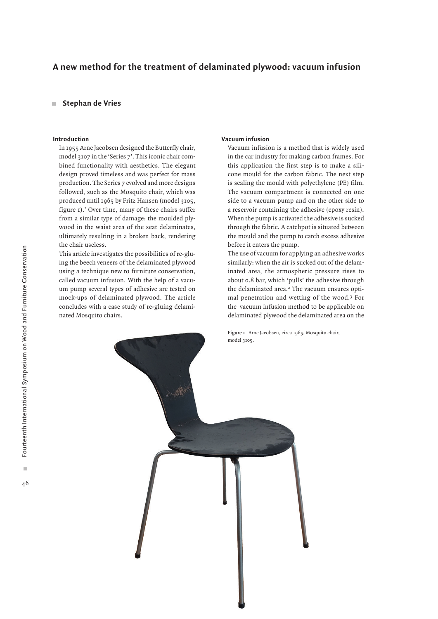# **A new method for the treatment of delaminated plywood: vacuum infusion**

#### **Stephan de Vries**  $\mathbf{m}$

### **Introduction**

In 1955 Arne Jacobsen designed the Butterfly chair, model 3107 in the 'Series 7'. This iconic chair combined functionality with aesthetics. The elegant design proved timeless and was perfect for mass production. The Series 7 evolved and more designs followed, such as the Mosquito chair, which was produced until 1965 by Fritz Hansen (model 3105, figure 1).<sup>1</sup> Over time, many of these chairs suffer from a similar type of damage: the moulded plywood in the waist area of the seat delaminates, ultimately resulting in a broken back, rendering the chair useless.

This article investigates the possibilities of re-gluing the beech veneers of the delaminated plywood using a technique new to furniture conservation, called vacuum infusion. With the help of a vacuum pump several types of adhesive are tested on mock-ups of delaminated plywood. The article concludes with a case study of re-gluing delaminated Mosquito chairs.

# **Vacuum infusion**

Vacuum infusion is a method that is widely used in the car industry for making carbon frames. For this application the first step is to make a silicone mould for the carbon fabric. The next step is sealing the mould with polyethylene (PE) film. The vacuum compartment is connected on one side to a vacuum pump and on the other side to a reservoir containing the adhesive (epoxy resin). When the pump is activated the adhesive is sucked through the fabric. A catchpot is situated between the mould and the pump to catch excess adhesive before it enters the pump.

The use of vacuum for applying an adhesive works similarly: when the air is sucked out of the delaminated area, the atmospheric pressure rises to about 0.8 bar, which 'pulls' the adhesive through the delaminated area.<sup>2</sup> The vacuum ensures optimal penetration and wetting of the wood.3 For the vacuum infusion method to be applicable on delaminated plywood the delaminated area on the

**Figure 1** Arne Jacobsen, circa 1965, Mosquito chair,

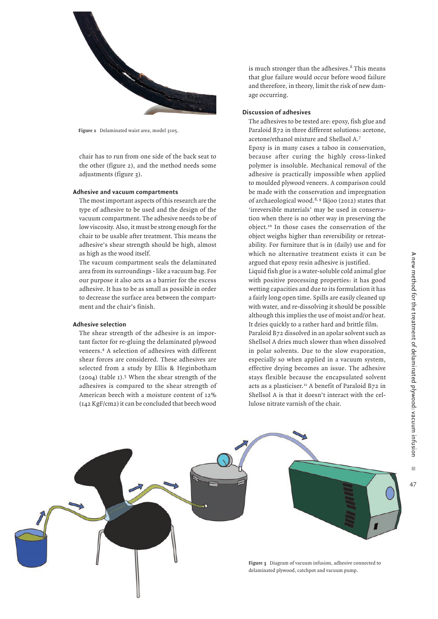

**Figure 2** Delaminated waist area, model 3105.

chair has to run from one side of the back seat to the other (figure 2), and the method needs some adjustments (figure 3).

# **Adhesive and vacuum compartments**

The most important aspects of this research are the type of adhesive to be used and the design of the vacuum compartment. The adhesive needs to be of low viscosity. Also, it must be strong enough for the chair to be usable after treatment. This means the adhesive's shear strength should be high, almost as high as the wood itself.

The vacuum compartment seals the delaminated area from its surroundings - like a vacuum bag. For our purpose it also acts as a barrier for the excess adhesive. It has to be as small as possible in order to decrease the surface area between the compartment and the chair's finish.

# **Adhesive selection**

The shear strength of the adhesive is an important factor for re-gluing the delaminated plywood veneers.4 A selection of adhesives with different shear forces are considered. These adhesives are selected from a study by Ellis & Heginbotham (2004) (table 1).5 When the shear strength of the adhesives is compared to the shear strength of American beech with a moisture content of 12% (142 KgF/cm2) it can be concluded that beech wood

is much stronger than the adhesives. $6$  This means that glue failure would occur before wood failure and therefore, in theory, limit the risk of new damage occurring.

#### **Discussion of adhesives**

The adhesives to be tested are: epoxy, fish glue and Paraloid B72 in three different solutions: acetone, acetone/ethanol mixture and Shellsol A.7

Epoxy is in many cases a taboo in conservation, because after curing the highly cross-linked polymer is insoluble. Mechanical removal of the adhesive is practically impossible when applied to moulded plywood veneers. A comparison could be made with the conservation and impregnation of archaeological wood.<sup>8, 9</sup> Ikjoo (2012) states that 'irreversible materials' may be used in conservation when there is no other way in preserving the object.10 In those cases the conservation of the object weighs higher than reversibility or retreatability. For furniture that is in (daily) use and for which no alternative treatment exists it can be argued that epoxy resin adhesive is justified.

Liquid fish glue is a water-soluble cold animal glue with positive processing properties: it has good wetting capacities and due to its formulation it has a fairly long open time. Spills are easily cleaned up with water, and re-dissolving it should be possible although this implies the use of moist and/or heat. It dries quickly to a rather hard and brittle film. Paraloid B72 dissolved in an apolar solvent such as Shellsol A dries much slower than when dissolved in polar solvents. Due to the slow evaporation, especially so when applied in a vacuum system,

effective drying becomes an issue. The adhesive stays flexible because the encapsulated solvent acts as a plasticiser.<sup>11</sup> A benefit of Paraloid B72 in Shellsol A is that it doesn't interact with the cellulose nitrate varnish of the chair.

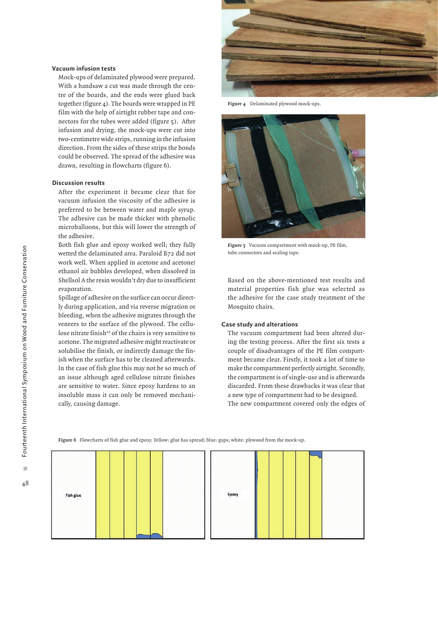#### **Vacuum infusion tests**

Mock-ups of delaminated plywood were prepared. With a bandsaw a cut was made through the centre of the boards, and the ends were glued back together (figure 4). The boards were wrapped in PE film with the help of airtight rubber tape and connectors for the tubes were added (figure 5). After infusion and drying, the mock-ups were cut into two-centimetre wide strips, running in the infusion direction. From the sides of these strips the bonds could be observed. The spread of the adhesive was drawn, resulting in flowcharts (figure 6).

#### **Discussion results**

After the experiment it became clear that for vacuum infusion the viscosity of the adhesive is preferred to be between water and maple syrup. The adhesive can be made thicker with phenolic microballoons, but this will lower the strength of the adhesive.

Both fish glue and epoxy worked well; they fully wetted the delaminated area. Paraloid B72 did not work well. When applied in acetone and acetone/ ethanol air bubbles developed, when dissolved in Shellsol A the resin wouldn't dry due to insufficient evaporation.

Spillage of adhesive on the surface can occur directly during application, and via reverse migration or bleeding, when the adhesive migrates through the veneers to the surface of the plywood. The cellulose nitrate finish<sup>12</sup> of the chairs is very sensitive to acetone. The migrated adhesive might reactivate or solubilise the finish, or indirectly damage the finish when the surface has to be cleaned afterwards. In the case of fish glue this may not be so much of an issue although aged cellulose nitrate finishes are sensitive to water. Since epoxy hardens to an insoluble mass it can only be removed mechanically, causing damage.



**Figure 4** Delaminated plywood mock-ups.



**Figure 5** Vacuum compartment with mock-up, PE film, tube connectors and sealing tape.

Based on the above-mentioned test results and material properties fish glue was selected as the adhesive for the case study treatment of the Mosquito chairs.

# **Case study and alterations**

The vacuum compartment had been altered during the testing process. After the first six tests a couple of disadvantages of the PE film compartment became clear. Firstly, it took a lot of time to make the compartment perfectly airtight. Secondly, the compartment is of single-use and is afterwards discarded. From these drawbacks it was clear that a new type of compartment had to be designed. The new compartment covered only the edges of

**Figure 6** Flowcharts of fish glue and epoxy. Yellow: glue has spread; blue: gaps; white: plywood from the mock-up.

| Fish glue |                         | Epoxy |  |  |
|-----------|-------------------------|-------|--|--|
|           | --<br><b>CONTRACTOR</b> |       |  |  |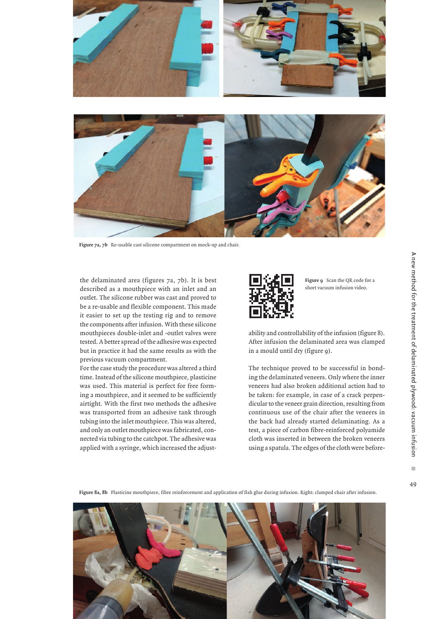

**Figure 7a, 7b** Re-usable cast silicone compartment on mock-up and chair.

the delaminated area (figures 7a, 7b). It is best described as a mouthpiece with an inlet and an outlet. The silicone rubber was cast and proved to be a re-usable and flexible component. This made it easier to set up the testing rig and to remove the components after infusion. With these silicone mouthpieces double-inlet and -outlet valves were tested. A better spread of the adhesive was expected but in practice it had the same results as with the previous vacuum compartment.

For the case study the procedure was altered a third time. Instead of the silicone mouthpiece, plasticine was used. This material is perfect for free forming a mouthpiece, and it seemed to be sufficiently airtight. With the first two methods the adhesive was transported from an adhesive tank through tubing into the inlet mouthpiece. This was altered, and only an outlet mouthpiece was fabricated, connected via tubing to the catchpot. The adhesive was applied with a syringe, which increased the adjust-



**Figure 9** Scan the QR code for a short vacuum infusion video.

ability and controllability of the infusion (figure 8). After infusion the delaminated area was clamped in a mould until dry (figure 9).

The technique proved to be successful in bonding the delaminated veneers. Only where the inner veneers had also broken additional action had to be taken: for example, in case of a crack perpendicular to the veneer grain direction, resulting from continuous use of the chair after the veneers in the back had already started delaminating. As a test, a piece of carbon fibre-reinforced polyamide cloth was inserted in between the broken veneers using a spatula. The edges of the cloth were before-

**Figure 8a, 8b** Plasticine mouthpiece, fibre reinforcement and application of fish glue during infusion. Right: clamped chair after infusion.